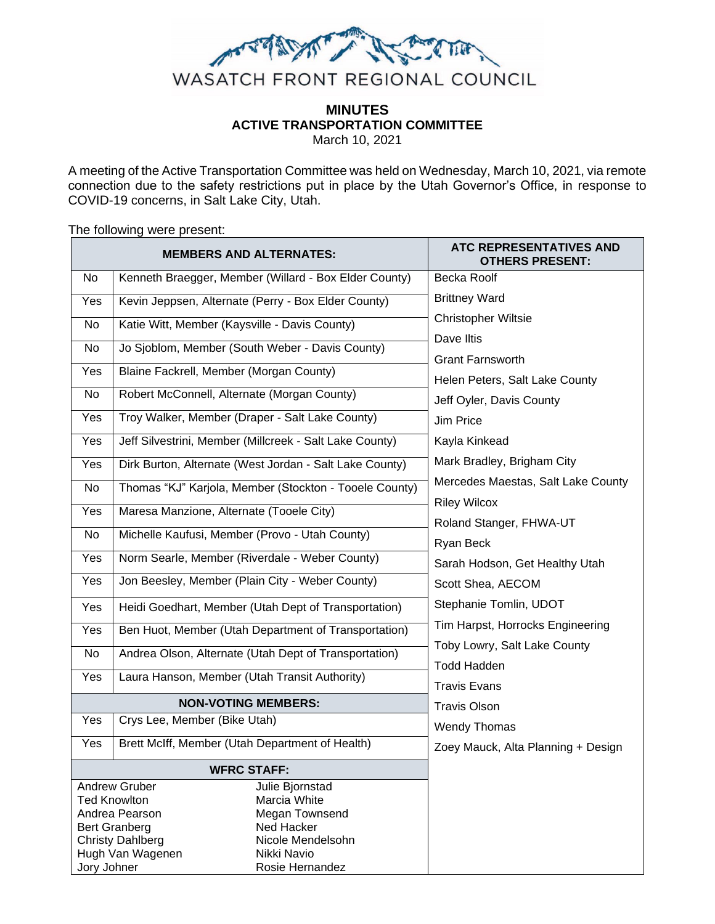

# **MINUTES ACTIVE TRANSPORTATION COMMITTEE**

March 10, 2021

A meeting of the Active Transportation Committee was held on Wednesday, March 10, 2021, via remote connection due to the safety restrictions put in place by the Utah Governor's Office, in response to COVID-19 concerns, in Salt Lake City, Utah.

The following were present:

| <b>MEMBERS AND ALTERNATES:</b>                                         |                                                     |                                                         | ATC REPRESENTATIVES AND<br><b>OTHERS PRESENT:</b> |
|------------------------------------------------------------------------|-----------------------------------------------------|---------------------------------------------------------|---------------------------------------------------|
| No                                                                     |                                                     | Kenneth Braegger, Member (Willard - Box Elder County)   | <b>Becka Roolf</b>                                |
| Yes                                                                    | Kevin Jeppsen, Alternate (Perry - Box Elder County) |                                                         | <b>Brittney Ward</b>                              |
| No                                                                     | Katie Witt, Member (Kaysville - Davis County)       |                                                         | <b>Christopher Wiltsie</b>                        |
| No                                                                     | Jo Sjoblom, Member (South Weber - Davis County)     |                                                         | Dave Iltis                                        |
| Yes                                                                    | Blaine Fackrell, Member (Morgan County)             |                                                         | <b>Grant Farnsworth</b>                           |
|                                                                        |                                                     |                                                         | Helen Peters, Salt Lake County                    |
| No                                                                     | Robert McConnell, Alternate (Morgan County)         |                                                         | Jeff Oyler, Davis County                          |
| Yes                                                                    |                                                     | Troy Walker, Member (Draper - Salt Lake County)         | Jim Price                                         |
| Yes                                                                    |                                                     | Jeff Silvestrini, Member (Millcreek - Salt Lake County) | Kayla Kinkead                                     |
| Yes                                                                    |                                                     | Dirk Burton, Alternate (West Jordan - Salt Lake County) | Mark Bradley, Brigham City                        |
| No                                                                     |                                                     | Thomas "KJ" Karjola, Member (Stockton - Tooele County)  | Mercedes Maestas, Salt Lake County                |
| Yes                                                                    | Maresa Manzione, Alternate (Tooele City)            |                                                         | <b>Riley Wilcox</b>                               |
| No                                                                     |                                                     | Michelle Kaufusi, Member (Provo - Utah County)          | Roland Stanger, FHWA-UT                           |
|                                                                        |                                                     |                                                         | Ryan Beck                                         |
| Yes                                                                    |                                                     | Norm Searle, Member (Riverdale - Weber County)          | Sarah Hodson, Get Healthy Utah                    |
| Yes                                                                    |                                                     | Jon Beesley, Member (Plain City - Weber County)         | Scott Shea, AECOM                                 |
| Yes                                                                    |                                                     | Heidi Goedhart, Member (Utah Dept of Transportation)    | Stephanie Tomlin, UDOT                            |
| Yes                                                                    |                                                     | Ben Huot, Member (Utah Department of Transportation)    | Tim Harpst, Horrocks Engineering                  |
| No                                                                     |                                                     | Andrea Olson, Alternate (Utah Dept of Transportation)   | Toby Lowry, Salt Lake County                      |
| Yes                                                                    | Laura Hanson, Member (Utah Transit Authority)       |                                                         | <b>Todd Hadden</b>                                |
|                                                                        |                                                     | <b>Travis Evans</b>                                     |                                                   |
| <b>NON-VOTING MEMBERS:</b>                                             |                                                     |                                                         | <b>Travis Olson</b>                               |
| Yes                                                                    | Crys Lee, Member (Bike Utah)                        |                                                         | Wendy Thomas                                      |
| Yes                                                                    |                                                     | Brett McIff, Member (Utah Department of Health)         | Zoey Mauck, Alta Planning + Design                |
| <b>WFRC STAFF:</b>                                                     |                                                     |                                                         |                                                   |
| <b>Andrew Gruber</b><br>Julie Bjornstad                                |                                                     |                                                         |                                                   |
| Marcia White<br><b>Ted Knowlton</b>                                    |                                                     |                                                         |                                                   |
| Andrea Pearson<br>Megan Townsend<br><b>Bert Granberg</b><br>Ned Hacker |                                                     |                                                         |                                                   |
| Nicole Mendelsohn<br><b>Christy Dahlberg</b>                           |                                                     |                                                         |                                                   |
| Hugh Van Wagenen<br>Nikki Navio                                        |                                                     |                                                         |                                                   |
| Jory Johner<br>Rosie Hernandez                                         |                                                     |                                                         |                                                   |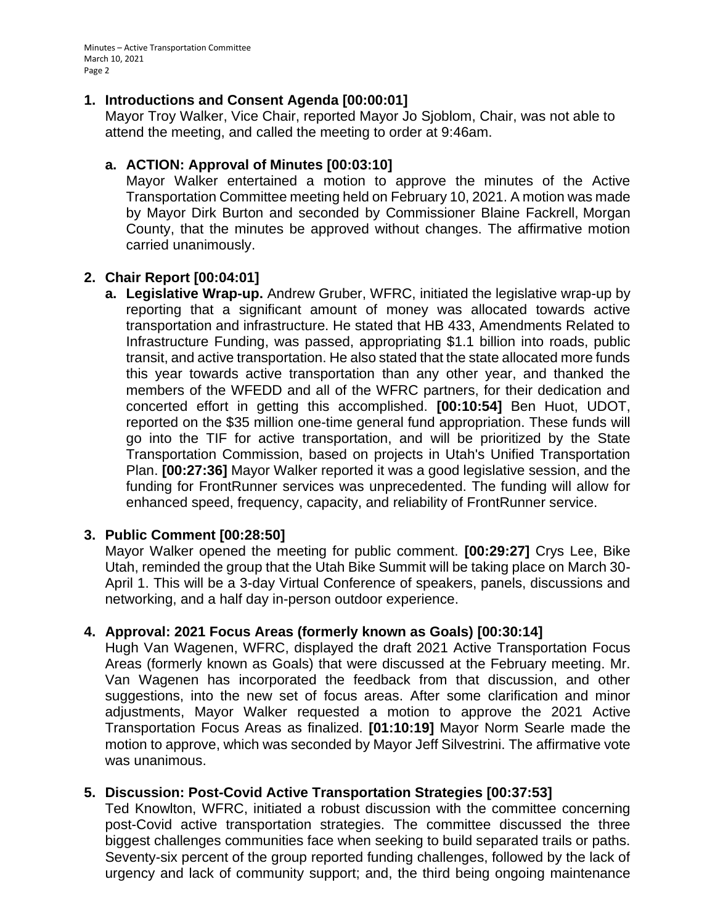Minutes – Active Transportation Committee March 10, 2021 Page 2

### **1. Introductions and Consent Agenda [00:00:01]**

Mayor Troy Walker, Vice Chair, reported Mayor Jo Sjoblom, Chair, was not able to attend the meeting, and called the meeting to order at 9:46am.

### **a. ACTION: Approval of Minutes [00:03:10]**

Mayor Walker entertained a motion to approve the minutes of the Active Transportation Committee meeting held on February 10, 2021. A motion was made by Mayor Dirk Burton and seconded by Commissioner Blaine Fackrell, Morgan County, that the minutes be approved without changes. The affirmative motion carried unanimously.

### **2. Chair Report [00:04:01]**

**a. Legislative Wrap-up.** Andrew Gruber, WFRC, initiated the legislative wrap-up by reporting that a significant amount of money was allocated towards active transportation and infrastructure. He stated that HB 433, Amendments Related to Infrastructure Funding, was passed, appropriating \$1.1 billion into roads, public transit, and active transportation. He also stated that the state allocated more funds this year towards active transportation than any other year, and thanked the members of the WFEDD and all of the WFRC partners, for their dedication and concerted effort in getting this accomplished. **[00:10:54]** Ben Huot, UDOT, reported on the \$35 million one-time general fund appropriation. These funds will go into the TIF for active transportation, and will be prioritized by the State Transportation Commission, based on projects in Utah's Unified Transportation Plan. **[00:27:36]** Mayor Walker reported it was a good legislative session, and the funding for FrontRunner services was unprecedented. The funding will allow for enhanced speed, frequency, capacity, and reliability of FrontRunner service.

### **3. Public Comment [00:28:50]**

Mayor Walker opened the meeting for public comment. **[00:29:27]** Crys Lee, Bike Utah, reminded the group that the Utah Bike Summit will be taking place on March 30- April 1. This will be a 3-day Virtual Conference of speakers, panels, discussions and networking, and a half day in-person outdoor experience.

### **4. Approval: 2021 Focus Areas (formerly known as Goals) [00:30:14]**

Hugh Van Wagenen, WFRC, displayed the draft 2021 Active Transportation Focus Areas (formerly known as Goals) that were discussed at the February meeting. Mr. Van Wagenen has incorporated the feedback from that discussion, and other suggestions, into the new set of focus areas. After some clarification and minor adjustments, Mayor Walker requested a motion to approve the 2021 Active Transportation Focus Areas as finalized. **[01:10:19]** Mayor Norm Searle made the motion to approve, which was seconded by Mayor Jeff Silvestrini. The affirmative vote was unanimous.

## **5. Discussion: Post-Covid Active Transportation Strategies [00:37:53]**

Ted Knowlton, WFRC, initiated a robust discussion with the committee concerning post-Covid active transportation strategies. The committee discussed the three biggest challenges communities face when seeking to build separated trails or paths. Seventy-six percent of the group reported funding challenges, followed by the lack of urgency and lack of community support; and, the third being ongoing maintenance